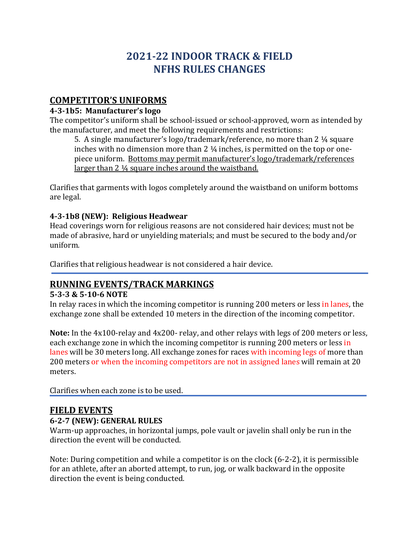# **2021-22 INDOOR TRACK & FIELD NFHS RULES CHANGES**

# **COMPETITOR'S UNIFORMS**

#### **4-3-1b5: Manufacturer's logo**

The competitor's uniform shall be school-issued or school-approved, worn as intended by the manufacturer, and meet the following requirements and restrictions:

5. A single manufacturer's  $logo$ /trademark/reference, no more than 2  $\frac{1}{4}$  square inches with no dimension more than  $2\frac{1}{4}$  inches, is permitted on the top or onepiece uniform. Bottoms may permit manufacturer's logo/trademark/references larger than  $2\frac{1}{4}$  square inches around the waistband.

Clarifies that garments with logos completely around the waistband on uniform bottoms are legal.

### **4-3-1b8 (NEW): Religious Headwear**

Head coverings worn for religious reasons are not considered hair devices; must not be made of abrasive, hard or unyielding materials; and must be secured to the body and/or uniform.

Clarifies that religious headwear is not considered a hair device.

# **RUNNING EVENTS/TRACK MARKINGS**

#### **5-3-3 & 5-10-6 NOTE**

In relay races in which the incoming competitor is running 200 meters or less in lanes, the exchange zone shall be extended 10 meters in the direction of the incoming competitor.

**Note:** In the 4x100-relay and 4x200- relay, and other relays with legs of 200 meters or less, each exchange zone in which the incoming competitor is running 200 meters or less in lanes will be 30 meters long. All exchange zones for races with incoming legs of more than 200 meters or when the incoming competitors are not in assigned lanes will remain at 20 meters. 

Clarifies when each zone is to be used.

# **FIELD EVENTS**

# **6-2-7 (NEW): GENERAL RULES**

Warm-up approaches, in horizontal jumps, pole vault or javelin shall only be run in the direction the event will be conducted.

Note: During competition and while a competitor is on the clock  $(6-2-2)$ , it is permissible for an athlete, after an aborted attempt, to run, jog, or walk backward in the opposite direction the event is being conducted.